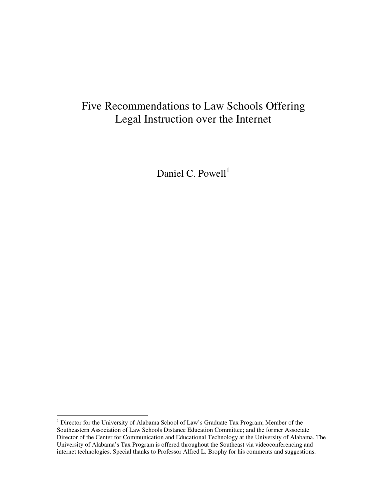# Five Recommendations to Law Schools Offering Legal Instruction over the Internet

Daniel C. Powell<sup>1</sup>

<sup>&</sup>lt;sup>1</sup> Director for the University of Alabama School of Law's Graduate Tax Program; Member of the Southeastern Association of Law Schools Distance Education Committee; and the former Associate Director of the Center for Communication and Educational Technology at the University of Alabama. The University of Alabama's Tax Program is offered throughout the Southeast via videoconferencing and internet technologies. Special thanks to Professor Alfred L. Brophy for his comments and suggestions.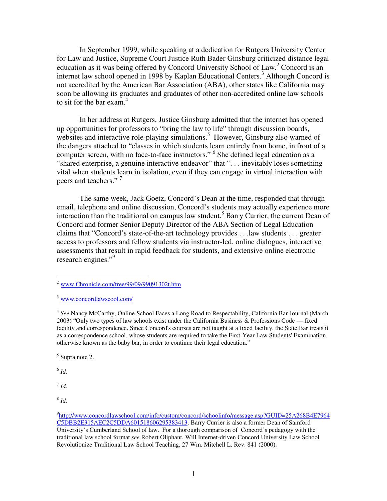In September 1999, while speaking at a dedication for Rutgers University Center for Law and Justice, Supreme Court Justice Ruth Bader Ginsburg criticized distance legal education as it was being offered by Concord University School of Law.<sup>2</sup> Concord is an internet law school opened in 1998 by Kaplan Educational Centers. <sup>3</sup> Although Concord is not accredited by the American Bar Association (ABA), other states like California may soon be allowing its graduates and graduates of other non-accredited online law schools to sit for the bar exam. 4

In her address at Rutgers, Justice Ginsburg admitted that the internet has opened up opportunities for professors to "bring the law to life" through discussion boards, websites and interactive role-playing simulations.<sup>5</sup> However, Ginsburg also warned of the dangers attached to "classes in which students learn entirely from home, in front of a computer screen, with no face-to-face instructors." <sup>6</sup> She defined legal education as a "shared enterprise, a genuine interactive endeavor" that "... inevitably loses something vital when students learn in isolation, even if they can engage in virtual interaction with peers and teachers."<sup>7</sup>

The same week, Jack Goetz, Concord's Dean at the time, responded that through email, telephone and online discussion, Concord's students may actually experience more interaction than the traditional on campus law student. <sup>8</sup> Barry Currier, the current Dean of Concord and former Senior Deputy Director of the ABA Section of Legal Education claims that "Concord's state-of-the-art technology provides . . .law students . . . greater access to professors and fellow students via instructor-led, online dialogues, interactive assessments that result in rapid feedback for students, and extensive online electronic research engines."<sup>9</sup>

 $<sup>5</sup>$  Supra note 2.</sup>

 $^6$  *Id.* 

 $^7$  *Id.* 

 $2$  www.Chronicle.com/free/99/09/99091302t.htm

<sup>3</sup> www.concordlawscool.com/

<sup>4</sup> *See* Nancy McCarthy, Online School Faces a Long Road to Respectability, California Bar Journal (March 2003) "Only two types of law schools exist under the California Business & Professions Code — fixed facility and correspondence. Since Concord's courses are not taught at a fixed facility, the State Bar treats it as a correspondence school, whose students are required to take the First-Year Law Students' Examination, otherwise known as the baby bar, in order to continue their legal education."

<sup>9</sup> http://www.concordlawschool.com/info/custom/concord/schoolinfo/message.asp?GUID=25A268B4E7964 C5DBB2E315AEC2C5DDA601518606295383413. Barry Currier is also a former Dean of Samford University's Cumberland School of law. For a thorough comparison of Concord's pedagogy with the traditional law school format *see* Robert Oliphant, Will Internet-driven Concord University Law School Revolutionize Traditional Law School Teaching, 27 Wm. Mitchell L. Rev. 841 (2000).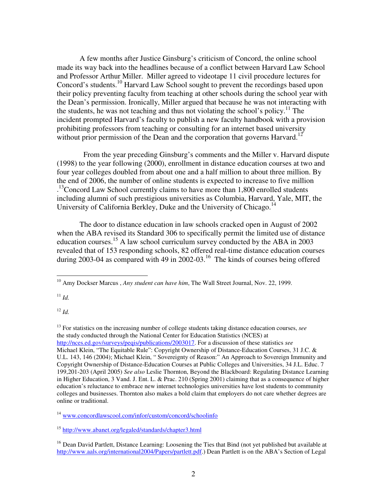A few months after Justice Ginsburg's criticism of Concord, the online school made its way back into the headlines because of a conflict between Harvard Law School and Professor Arthur Miller. Miller agreed to videotape 11 civil procedure lectures for Concord's students. <sup>10</sup> Harvard Law School sought to prevent the recordings based upon their policy preventing faculty from teaching at other schools during the school year with the Dean's permission. Ironically, Miller argued that because he was not interacting with the students, he was not teaching and thus not violating the school's policy.<sup>11</sup> The incident prompted Harvard's faculty to publish a new faculty handbook with a provision prohibiting professors from teaching or consulting for an internet based university without prior permission of the Dean and the corporation that governs Harvard.<sup>12</sup>

From the year preceding Ginsburg's comments and the Miller v. Harvard dispute (1998) to the year following (2000), enrollment in distance education courses at two and four year colleges doubled from about one and a half million to about three million. By the end of 2006, the number of online students is expected to increase to five million <sup>13</sup>Concord Law School currently claims to have more than 1,800 enrolled students including alumni of such prestigious universities as Columbia, Harvard, Yale, MIT, the University of California Berkley, Duke and the University of Chicago.<sup>14</sup>

The door to distance education in law schools cracked open in August of 2002 when the ABA revised its Standard 306 to specifically permit the limited use of distance education courses.<sup>15</sup> A law school curriculum survey conducted by the ABA in 2003 revealed that of 153 responding schools, 82 offered real-time distance education courses during 2003-04 as compared with 49 in 2002-03.<sup>16</sup> The kinds of courses being offered

 $11$  *Id.* 

<sup>12</sup> *Id.*

<sup>13</sup> For statistics on the increasing number of college students taking distance education courses, *see* the study conducted through the National Center for Education Statistics (NCES) at http://nces.ed.gov/surveys/peqis/publications/2003017. For a discussion of these statistics *see* Michael Klein, "The Equitable Rule": Copyright Ownership of Distance-Education Courses, 31 J.C. & U.L. 143, 146 (2004); Michael Klein, " Sovereignty of Reason:" An Approach to Sovereign Immunity and Copyright Ownership of Distance-Education Courses at Public Colleges and Universities, 34 J.L. Educ. 7 199,201-203 (April 2005) *See also* Leslie Thornton, Beyond the Blackboard: Regulating Distance Learning in Higher Education, 3 Vand. J. Ent. L. & Prac. 210 (Spring 2001) claiming that as a consequence of higher education's reluctance to embrace new internet technologies universities have lost students to community colleges and businesses. Thornton also makes a bold claim that employers do not care whether degrees are online or traditional.

<sup>14</sup> www.concordlawscool.com/infor/custom/concord/schoolinfo

<sup>15</sup> http://www.abanet.org/legaled/standards/chapter3.html

<sup>10</sup> Amy Dockser Marcus , *Any student can have him*, The Wall Street Journal, Nov. 22, 1999.

<sup>&</sup>lt;sup>16</sup> Dean David Partlett, Distance Learning: Loosening the Ties that Bind (not yet published but available at http://www.aals.org/international2004/Papers/partlett.pdf.) Dean Partlett is on the ABA's Section of Legal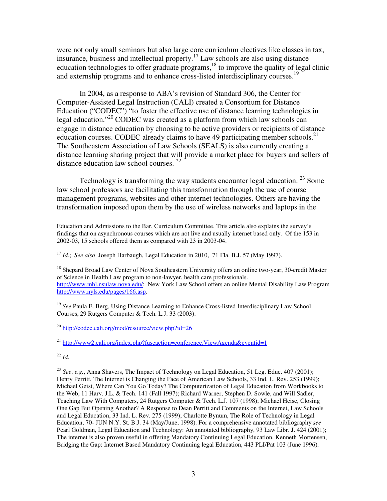were not only small seminars but also large core curriculum electives like classes in tax, insurance, business and intellectual property. <sup>17</sup> Law schools are also using distance education technologies to offer graduate programs,<sup>18</sup> to improve the quality of legal clinic and externship programs and to enhance cross-listed interdisciplinary courses.<sup>19</sup>

In 2004, as a response to ABA's revision of Standard 306, the Center for Computer-Assisted Legal Instruction (CALI) created a Consortium for Distance Education ("CODEC") "to foster the effective use of distance learning technologies in legal education."<sup>20</sup> CODEC was created as a platform from which law schools can engage in distance education by choosing to be active providers or recipients of distance education courses. CODEC already claims to have 49 participating member schools.<sup>21</sup> The Southeastern Association of Law Schools (SEALS) is also currently creating a distance learning sharing project that will provide a market place for buyers and sellers of distance education law school courses. <sup>22</sup>

Technology is transforming the way students encounter legal education.  $23$  Some law school professors are facilitating this transformation through the use of course management programs, websites and other internet technologies. Others are having the transformation imposed upon them by the use of wireless networks and laptops in the

Education and Admissions to the Bar, Curriculum Committee. This article also explains the survey's findings that on asynchronous courses which are not live and usually internet based only. Of the 153 in 2002-03, 15 schools offered them as compared with 23 in 2003-04.

<sup>17</sup> *Id.*; *See also* Joseph Harbaugh, Legal Education in 2010, 71 Fla. B.J. 57 (May 1997).

<sup>18</sup> Shepard Broad Law Center of Nova Southeastern University offers an online two-year, 30-credit Master of Science in Health Law program to non-lawyer, health care professionals. http://www.mhl.nsulaw.nova.edu/; New York Law School offers an online Mental Disability Law Program http://www.nyls.edu/pages/166.asp.

<sup>19</sup> See Paula E. Berg, Using Distance Learning to Enhance Cross-listed Interdisciplinary Law School Courses, 29 Rutgers Computer & Tech. L.J. 33 (2003).

 $^{20}$  http://codec.cali.org/mod/resource/view.php?id=26

<sup>21</sup> http://www2.cali.org/index.php?fuseaction=conference.ViewAgenda&eventid=1

<sup>22</sup> *Id.*

<sup>23</sup> *See*, *e.g.*, Anna Shavers, The Impact of Technology on Legal Education, 51 Leg. Educ. 407 (2001); Henry Perritt, The Internet is Changing the Face of American Law Schools, 33 Ind. L. Rev. 253 (1999); Michael Geist, Where Can You Go Today? The Computerization of Legal Education from Workbooks to the Web, 11 Harv. J.L. & Tech. 141 (Fall 1997); Richard Warner, Stephen D. Sowle, and Will Sadler, Teaching Law With Computers, 24 Rutgers Computer & Tech. L.J. 107 (1998); Michael Heise, Closing One Gap But Opening Another? A Response to Dean Perritt and Comments on the Internet, Law Schools and Legal Education, 33 Ind. L. Rev. 275 (1999); Charlotte Bynum, The Role of Technology in Legal Education, 70- JUN N.Y. St. B.J. 34 (May/June, 1998). For a comprehensive annotated bibliography *see* Pearl Goldman, Legal Education and Technology: An annotated bibliography, 93 Law Libr. J. 424 (2001); The internet is also proven useful in offering Mandatory Continuing Legal Education. Kenneth Mortensen, Bridging the Gap: Internet Based Mandatory Continuing legal Education, 443 PLI/Pat 103 (June 1996).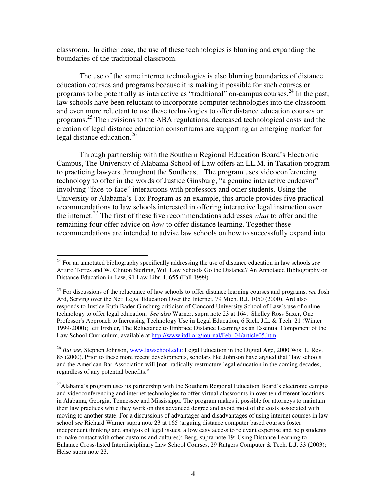classroom. In either case, the use of these technologies is blurring and expanding the boundaries of the traditional classroom.

The use of the same internet technologies is also blurring boundaries of distance education courses and programs because it is making it possible for such courses or programs to be potentially as interactive as "traditional" on-campus courses.<sup>24</sup> In the past, law schools have been reluctant to incorporate computer technologies into the classroom and even more reluctant to use these technologies to offer distance education courses or programs.<sup>25</sup> The revisions to the ABA regulations, decreased technological costs and the creation of legal distance education consortiums are supporting an emerging market for legal distance education. 26

Through partnership with the Southern Regional Education Board's Electronic Campus, The University of Alabama School of Law offers an LL.M. in Taxation program to practicing lawyers throughout the Southeast. The program uses videoconferencing technology to offer in the words of Justice Ginsburg, "a genuine interactive endeavor" involving "face-to-face" interactions with professors and other students. Using the University or Alabama's Tax Program as an example, this article provides five practical recommendations to law schools interested in offering interactive legal instruction over the internet. <sup>27</sup> The first of these five recommendations addresses *what* to offer and the remaining four offer advice on *how* to offer distance learning. Together these recommendations are intended to advise law schools on how to successfully expand into

<sup>24</sup> For an annotated bibliography specifically addressing the use of distance education in law schools *see* Arturo Torres and W. Clinton Sterling, Will Law Schools Go the Distance? An Annotated Bibliography on Distance Education in Law, 91 Law Libr. J. 655 (Fall 1999).

<sup>25</sup> For discussions of the reluctance of law schools to offer distance learning courses and programs, *see* Josh Ard, Serving over the Net: Legal Education Over the Internet, 79 Mich. B.J. 1050 (2000). Ard also responds to Justice Ruth Bader Ginsburg criticism of Concord University School of Law's use of online technology to offer legal education; *See also* Warner, supra note 23 at 164; Shelley Ross Saxer, One Professor's Approach to Increasing Technology Use in Legal Education, 6 Rich. J.L. & Tech. 21 (Winter 1999-2000); Jeff Ershler, The Reluctance to Embrace Distance Learning as an Essential Component of the Law School Curriculum, available at http://www.itdl.org/journal/Feb\_04/article05.htm.

<sup>26</sup> *But see,* Stephen Johnson, www.lawschool.edu: Legal Education in the Digital Age, 2000 Wis. L. Rev. 85 (2000). Prior to these more recent developments, scholars like Johnson have argued that "law schools and the American Bar Association will [not] radically restructure legal education in the coming decades, regardless of any potential benefits."

<sup>&</sup>lt;sup>27</sup>Alabama's program uses its partnership with the Southern Regional Education Board's electronic campus and videoconferencing and internet technologies to offer virtual classrooms in over ten different locations in Alabama, Georgia, Tennessee and Mississippi. The program makes it possible for attorneys to maintain their law practices while they work on this advanced degree and avoid most of the costs associated with moving to another state. For a discussions of advantages and disadvantages of using internet courses in law school *see* Richard Warner supra note 23 at 165 (arguing distance computer based courses foster independent thinking and analysis of legal issues, allow easy access to relevant expertise and help students to make contact with other customs and cultures); Berg, supra note 19; Using Distance Learning to Enhance Cross-listed Interdisciplinary Law School Courses, 29 Rutgers Computer & Tech. L.J. 33 (2003); Heise supra note 23.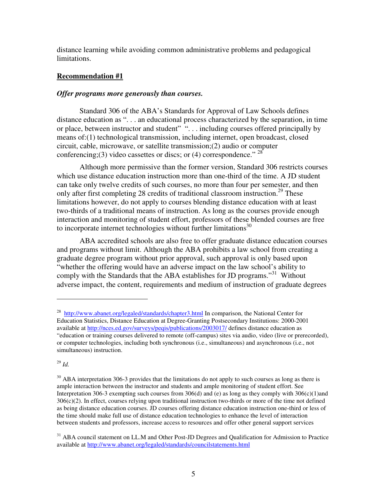distance learning while avoiding common administrative problems and pedagogical limitations.

## **Recommendation #1**

## *Offer programs more generously than courses.*

Standard 306 of the ABA's Standards for Approval of Law Schools defines distance education as ". . . an educational process characterized by the separation, in time or place, between instructor and student" ". . . including courses offered principally by means of:(1) technological transmission, including internet, open broadcast, closed circuit, cable, microwave, or satellite transmission;(2) audio or computer conferencing;(3) video cassettes or discs; or (4) correspondence."  $28$ 

Although more permissive than the former version, Standard 306 restricts courses which use distance education instruction more than one-third of the time. A JD student can take only twelve credits of such courses, no more than four per semester, and then only after first completing 28 credits of traditional classroom instruction.<sup>29</sup> These limitations however, do not apply to courses blending distance education with at least two-thirds of a traditional means of instruction. As long as the courses provide enough interaction and monitoring of student effort, professors of these blended courses are free to incorporate internet technologies without further limitations<sup>30</sup>

ABA accredited schools are also free to offer graduate distance education courses and programs without limit. Although the ABA prohibits a law school from creating a graduate degree program without prior approval, such approval is only based upon "whether the offering would have an adverse impact on the law school's ability to comply with the Standards that the ABA establishes for JD programs."<sup>31</sup> Without adverse impact, the content, requirements and medium of instruction of graduate degrees

<sup>&</sup>lt;sup>28</sup> http://www.abanet.org/legaled/standards/chapter3.html In comparison, the National Center for Education Statistics, Distance Education at Degree-Granting Postsecondary Institutions: 2000-2001 available at http://nces.ed.gov/surveys/peqis/publications/2003017/ defines distance education as "education or training courses delivered to remote (off-campus) sites via audio, video (live or prerecorded), or computer technologies, including both synchronous (i.e., simultaneous) and asynchronous (i.e., not simultaneous) instruction.

 $30$  ABA interpretation 306-3 provides that the limitations do not apply to such courses as long as there is ample interaction between the instructor and students and ample monitoring of student effort. See Interpretation 306-3 exempting such courses from  $306(d)$  and (e) as long as they comply with  $306(c)(1)$ and 306(c)(2). In effect, courses relying upon traditional instruction two-thirds or more of the time not defined as being distance education courses. JD courses offering distance education instruction one-third or less of the time should make full use of distance education technologies to enhance the level of interaction between students and professors, increase access to resources and offer other general support services

<sup>&</sup>lt;sup>31</sup> ABA council statement on LL.M and Other Post-JD Degrees and Qualification for Admission to Practice available at http://www.abanet.org/legaled/standards/councilstatements.html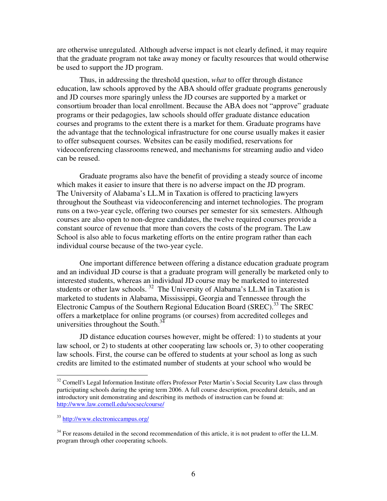are otherwise unregulated. Although adverse impact is not clearly defined, it may require that the graduate program not take away money or faculty resources that would otherwise be used to support the JD program.

Thus, in addressing the threshold question, *what* to offer through distance education, law schools approved by the ABA should offer graduate programs generously and JD courses more sparingly unless the JD courses are supported by a market or consortium broader than local enrollment. Because the ABA does not "approve" graduate programs or their pedagogies, law schools should offer graduate distance education courses and programs to the extent there is a market for them. Graduate programs have the advantage that the technological infrastructure for one course usually makes it easier to offer subsequent courses. Websites can be easily modified, reservations for videoconferencing classrooms renewed, and mechanisms for streaming audio and video can be reused.

Graduate programs also have the benefit of providing a steady source of income which makes it easier to insure that there is no adverse impact on the JD program. The University of Alabama's LL.M in Taxation is offered to practicing lawyers throughout the Southeast via videoconferencing and internet technologies. The program runs on a two-year cycle, offering two courses per semester for six semesters. Although courses are also open to non-degree candidates, the twelve required courses provide a constant source of revenue that more than covers the costs of the program. The Law School is also able to focus marketing efforts on the entire program rather than each individual course because of the two-year cycle.

One important difference between offering a distance education graduate program and an individual JD course is that a graduate program will generally be marketed only to interested students, whereas an individual JD course may be marketed to interested students or other law schools.<sup>32</sup> The University of Alabama's LL.M in Taxation is marketed to students in Alabama, Mississippi, Georgia and Tennessee through the Electronic Campus of the Southern Regional Education Board (SREC).<sup>33</sup> The SREC offers a marketplace for online programs (or courses) from accredited colleges and universities throughout the South. $3<sup>34</sup>$ 

JD distance education courses however, might be offered: 1) to students at your law school, or 2) to students at other cooperating law schools or, 3) to other cooperating law schools. First, the course can be offered to students at your school as long as such credits are limited to the estimated number of students at your school who would be

<sup>&</sup>lt;sup>32</sup> Cornell's Legal Information Institute offers Professor Peter Martin's Social Security Law class through participating schools during the spring term 2006. A full course description, procedural details, and an introductory unit demonstrating and describing its methods of instruction can be found at: http://www.law.cornell.edu/socsec/course/

<sup>33</sup> http://www.electroniccampus.org/

 $34$  For reasons detailed in the second recommendation of this article, it is not prudent to offer the LL.M. program through other cooperating schools.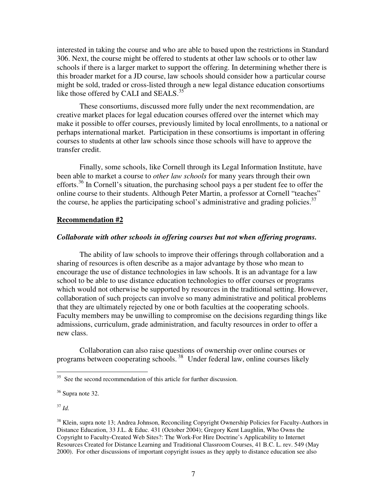interested in taking the course and who are able to based upon the restrictions in Standard 306. Next, the course might be offered to students at other law schools or to other law schools if there is a larger market to support the offering. In determining whether there is this broader market for a JD course, law schools should consider how a particular course might be sold, traded or cross-listed through a new legal distance education consortiums like those offered by CALI and SEALS.<sup>35</sup>

These consortiums, discussed more fully under the next recommendation, are creative market places for legal education courses offered over the internet which may make it possible to offer courses, previously limited by local enrollments, to a national or perhaps international market. Participation in these consortiums is important in offering courses to students at other law schools since those schools will have to approve the transfer credit.

Finally, some schools, like Cornell through its Legal Information Institute, have been able to market a course to *other law schools* for many years through their own efforts.<sup>36</sup> In Cornell's situation, the purchasing school pays a per student fee to offer the online course to their students. Although Peter Martin, a professor at Cornell "teaches" the course, he applies the participating school's administrative and grading policies.<sup>37</sup>

#### **Recommendation #2**

#### *Collaborate with other schools in offering courses but not when offering programs.*

The ability of law schools to improve their offerings through collaboration and a sharing of resources is often describe as a major advantage by those who mean to encourage the use of distance technologies in law schools. It is an advantage for a law school to be able to use distance education technologies to offer courses or programs which would not otherwise be supported by resources in the traditional setting. However, collaboration of such projects can involve so many administrative and political problems that they are ultimately rejected by one or both faculties at the cooperating schools. Faculty members may be unwilling to compromise on the decisions regarding things like admissions, curriculum, grade administration, and faculty resources in order to offer a new class.

Collaboration can also raise questions of ownership over online courses or programs between cooperating schools.<sup>38</sup> Under federal law, online courses likely

<sup>&</sup>lt;sup>35</sup> See the second recommendation of this article for further discussion.

<sup>&</sup>lt;sup>36</sup> Supra note 32.

<sup>&</sup>lt;sup>38</sup> Klein, supra note 13; Andrea Johnson, Reconciling Copyright Ownership Policies for Faculty-Authors in Distance Education, 33 J.L. & Educ. 431 (October 2004); Gregory Kent Laughlin, Who Owns the Copyright to Faculty-Created Web Sites?: The Work-For Hire Doctrine's Applicability to Internet Resources Created for Distance Learning and Traditional Classroom Courses, 41 B.C. L. rev. 549 (May 2000). For other discussions of important copyright issues as they apply to distance education see also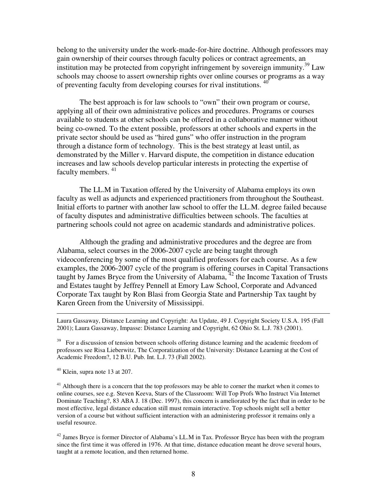belong to the university under the work-made-for-hire doctrine. Although professors may gain ownership of their courses through faculty polices or contract agreements, an institution may be protected from copyright infringement by sovereign immunity.<sup>39</sup> Law schools may choose to assert ownership rights over online courses or programs as a way of preventing faculty from developing courses for rival institutions.<sup>40</sup>

The best approach is for law schools to "own" their own program or course, applying all of their own administrative polices and procedures. Programs or courses available to students at other schools can be offered in a collaborative manner without being co-owned. To the extent possible, professors at other schools and experts in the private sector should be used as "hired guns" who offer instruction in the program through a distance form of technology. This is the best strategy at least until, as demonstrated by the Miller v. Harvard dispute, the competition in distance education increases and law schools develop particular interests in protecting the expertise of faculty members. <sup>41</sup>

The LL.M in Taxation offered by the University of Alabama employs its own faculty as well as adjuncts and experienced practitioners from throughout the Southeast. Initial efforts to partner with another law school to offer the LL.M. degree failed because of faculty disputes and administrative difficulties between schools. The faculties at partnering schools could not agree on academic standards and administrative polices.

Although the grading and administrative procedures and the degree are from Alabama, select courses in the 2006-2007 cycle are being taught through videoconferencing by some of the most qualified professors for each course. As a few examples, the 2006-2007 cycle of the program is offering courses in Capital Transactions taught by James Bryce from the University of Alabama, <sup>42</sup> the Income Taxation of Trusts and Estates taught by Jeffrey Pennell at Emory Law School, Corporate and Advanced Corporate Tax taught by Ron Blasi from Georgia State and Partnership Tax taught by Karen Green from the University of Mississippi.

Laura Gassaway, Distance Learning and Copyright: An Update, 49 J. Copyright Society U.S.A. 195 (Fall 2001); Laura Gassaway, Impasse: Distance Learning and Copyright, 62 Ohio St. L.J. 783 (2001).

 $39$  For a discussion of tension between schools offering distance learning and the academic freedom of professors see Risa Lieberwitz, The Corporatization of the University: Distance Learning at the Cost of Academic Freedom?, 12 B.U. Pub. Int. L.J. 73 (Fall 2002).

 $40$  Klein, supra note 13 at 207.

 $41$  Although there is a concern that the top professors may be able to corner the market when it comes to online courses, see e.g. Steven Keeva, Stars of the Classroom: Will Top Profs Who Instruct Via Internet Dominate Teaching?, 83 ABA J. 18 (Dec. 1997), this concern is ameliorated by the fact that in order to be most effective, legal distance education still must remain interactive. Top schools might sell a better version of a course but without sufficient interaction with an administering professor it remains only a useful resource.

 $42$  James Bryce is former Director of Alabama's LL.M in Tax. Professor Bryce has been with the program since the first time it was offered in 1976. At that time, distance education meant he drove several hours, taught at a remote location, and then returned home.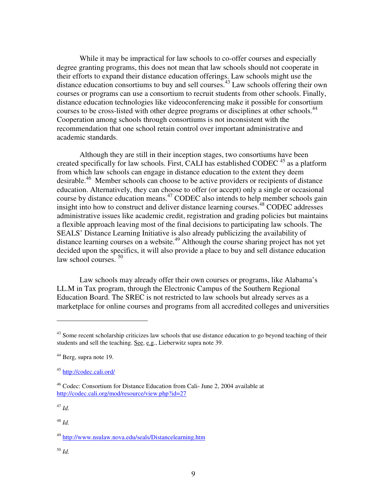While it may be impractical for law schools to co-offer courses and especially degree granting programs, this does not mean that law schools should not cooperate in their efforts to expand their distance education offerings. Law schools might use the distance education consortiums to buy and sell courses. <sup>43</sup> Law schools offering their own courses or programs can use a consortium to recruit students from other schools. Finally, distance education technologies like videoconferencing make it possible for consortium courses to be cross-listed with other degree programs or disciplines at other schools.<sup>44</sup> Cooperation among schools through consortiums is not inconsistent with the recommendation that one school retain control over important administrative and academic standards.

Although they are still in their inception stages, two consortiums have been created specifically for law schools. First, CALI has established CODEC  $45$  as a platform from which law schools can engage in distance education to the extent they deem desirable.<sup>46</sup> Member schools can choose to be active providers or recipients of distance education. Alternatively, they can choose to offer (or accept) only a single or occasional course by distance education means. <sup>47</sup> CODEC also intends to help member schools gain insight into how to construct and deliver distance learning courses.<sup>48</sup> CODEC addresses administrative issues like academic credit, registration and grading policies but maintains a flexible approach leaving most of the final decisions to participating law schools. The SEALS' Distance Learning Initiative is also already publicizing the availability of distance learning courses on a website. <sup>49</sup> Although the course sharing project has not yet decided upon the specifics, it will also provide a place to buy and sell distance education law school courses.  $50$ 

Law schools may already offer their own courses or programs, like Alabama's LL.M in Tax program, through the Electronic Campus of the Southern Regional Education Board. The SREC is not restricted to law schools but already serves as a marketplace for online courses and programs from all accredited colleges and universities

<sup>&</sup>lt;sup>43</sup> Some recent scholarship criticizes law schools that use distance education to go beyond teaching of their students and sell the teaching. See, e.g., Lieberwitz supra note 39.

<sup>44</sup> Berg, supra note 19.

<sup>45</sup> http://codec.cali.ord/

<sup>46</sup> Codec: Consortium for Distance Education from Cali- June 2, 2004 available at http://codec.cali.org/mod/resource/view.php?id=27

<sup>48</sup> *Id.*

<sup>49</sup> http://www.nsulaw.nova.edu/seals/Distancelearning.htm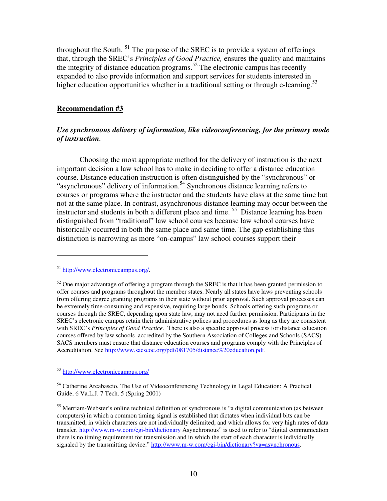throughout the South.  $51$  The purpose of the SREC is to provide a system of offerings that, through the SREC's *Principles of Good Practice,* ensures the quality and maintains the integrity of distance education programs.<sup>52</sup> The electronic campus has recently expanded to also provide information and support services for students interested in higher education opportunities whether in a traditional setting or through e-learning.<sup>53</sup>

### **Recommendation #3**

## *Use synchronous delivery of information, like videoconferencing, for the primary mode of instruction.*

Choosing the most appropriate method for the delivery of instruction is the next important decision a law school has to make in deciding to offer a distance education course. Distance education instruction is often distinguished by the "synchronous" or "asynchronous" delivery of information.<sup>54</sup> Synchronous distance learning refers to courses or programs where the instructor and the students have class at the same time but not at the same place. In contrast, asynchronous distance learning may occur between the instructor and students in both a different place and time. <sup>55</sup> Distance learning has been distinguished from "traditional" law school courses because law school courses have historically occurred in both the same place and same time. The gap establishing this distinction is narrowing as more "on-campus" law school courses support their

<sup>53</sup> http://www.electroniccampus.org/

<sup>54</sup> Catherine Arcabascio, The Use of Videoconferencing Technology in Legal Education: A Practical Guide, 6 Va.L.J. 7 Tech. 5 (Spring 2001)

<sup>55</sup> Merriam-Webster's online technical definition of synchronous is "a digital communication (as between computers) in which a common timing signal is established that dictates when individual bits can be transmitted, in which characters are not individually delimited, and which allows for very high rates of data transfer. http://www.m-w.com/cgi-bin/dictionary Asynchronous" is used to refer to "digital communication there is no timing requirement for transmission and in which the start of each character is individually signaled by the transmitting device." http://www.m-w.com/cgi-bin/dictionary?va=asynchronous.

<sup>51</sup> http://www.electroniccampus.org/.

 $52$  One major advantage of offering a program through the SREC is that it has been granted permission to offer courses and programs throughout the member states. Nearly all states have laws preventing schools from offering degree granting programs in their state without prior approval. Such approval processes can be extremely time-consuming and expensive, requiring large bonds. Schools offering such programs or courses through the SREC, depending upon state law, may not need further permission. Participants in the SREC's electronic campus retain their administrative polices and procedures as long as they are consistent with SREC's *Principles of Good Practice.* There is also a specific approval process for distance education courses offered by law schools accredited by the Southern Association of Colleges and Schools (SACS). SACS members must ensure that distance education courses and programs comply with the Principles of Accreditation. See http://www.sacscoc.org/pdf/081705/distance%20education.pdf.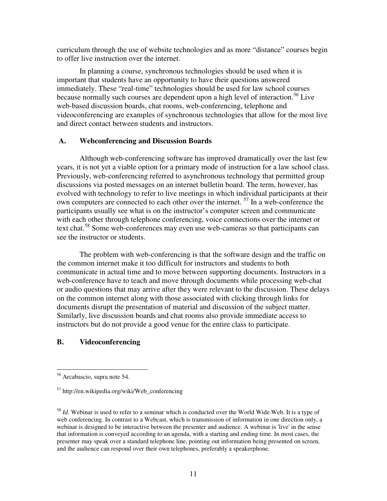curriculum through the use of website technologies and as more "distance" courses begin to offer live instruction over the internet.

In planning a course, synchronous technologies should be used when it is important that students have an opportunity to have their questions answered immediately. These "real-time" technologies should be used for law school courses because normally such courses are dependent upon a high level of interaction. <sup>56</sup> Live web-based discussion boards, chat rooms, web-conferencing, telephone and videoconferencing are examples of synchronous technologies that allow for the most live and direct contact between students and instructors.

#### **A. Webconferencing and Discussion Boards**

Although web-conferencing software has improved dramatically over the last few years, it is not yet a viable option for a primary mode of instruction for a law school class. Previously, web-conferencing referred to asynchronous technology that permitted group discussions via posted messages on an internet bulletin board. The term, however, has evolved with technology to refer to live meetings in which individual participants at their own computers are connected to each other over the internet. <sup>57</sup> In a web-conference the participants usually see what is on the instructor's computer screen and communicate with each other through telephone conferencing, voice connections over the internet or text chat. <sup>58</sup> Some web-conferences may even use web-cameras so that participants can see the instructor or students.

The problem with web-conferencing is that the software design and the traffic on the common internet make it too difficult for instructors and students to both communicate in actual time and to move between supporting documents. Instructors in a web-conference have to teach and move through documents while processing web-chat or audio questions that may arrive after they were relevant to the discussion. These delays on the common internet along with those associated with clicking through links for documents disrupt the presentation of material and discussion of the subject matter. Similarly, live discussion boards and chat rooms also provide immediate access to instructors but do not provide a good venue for the entire class to participate.

## **B. Videoconferencing**

<sup>56</sup> Arcabascio, supra note 54.

 $57$  http://en.wikipedia.org/wiki/Web conferencing

<sup>&</sup>lt;sup>58</sup> *Id.* Webinar is used to refer to a seminar which is conducted over the World Wide Web. It is a type of web conferencing. In contrast to a Webcast, which is transmission of information in one direction only, a webinar is designed to be interactive between the presenter and audience. A webinar is 'live' in the sense that information is conveyed according to an agenda, with a starting and ending time. In most cases, the presenter may speak over a standard telephone line, pointing out information being presented on screen, and the audience can respond over their own telephones, preferably a speakerphone.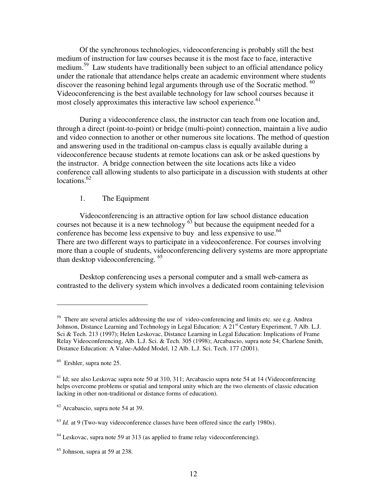Of the synchronous technologies, videoconferencing is probably still the best medium of instruction for law courses because it is the most face to face, interactive medium.<sup>59</sup> Law students have traditionally been subject to an official attendance policy under the rationale that attendance helps create an academic environment where students discover the reasoning behind legal arguments through use of the Socratic method.  $60$ Videoconferencing is the best available technology for law school courses because it most closely approximates this interactive law school experience.<sup>61</sup>

During a videoconference class, the instructor can teach from one location and, through a direct (point-to-point) or bridge (multi-point) connection, maintain a live audio and video connection to another or other numerous site locations. The method of question and answering used in the traditional on-campus class is equally available during a videoconference because students at remote locations can ask or be asked questions by the instructor. A bridge connection between the site locations acts like a video conference call allowing students to also participate in a discussion with students at other locations.<sup>62</sup>

## 1. The Equipment

Videoconferencing is an attractive option for law school distance education courses not because it is a new technology  $^{63}$  but because the equipment needed for a conference has become less expensive to buy and less expensive to use.<sup>64</sup> There are two different ways to participate in a videoconference. For courses involving more than a couple of students, videoconferencing delivery systems are more appropriate than desktop videoconferencing.<sup>65</sup>

Desktop conferencing uses a personal computer and a small web-camera as contrasted to the delivery system which involves a dedicated room containing television

 $59$  There are several articles addressing the use of video-conferencing and limits etc. see e.g. Andrea Johnson, Distance Learning and Technology in Legal Education: A 21<sup>st</sup> Century Experiment, 7 Alb. L.J. Sci & Tech. 213 (1997); Helen Leskovac, Distance Learning in Legal Education: Implications of Frame Relay Videoconferencing, Alb. L.J. Sci. & Tech. 305 (1998); Arcabascio, supra note 54; Charlene Smith, Distance Education: A Value-Added Model, 12 Alb. L.J. Sci. Tech. 177 (2001).

<sup>60</sup> Ershler, supra note 25.

 $61$  Id; see also Leskovac supra note 50 at 310, 311; Arcabascio supra note 54 at 14 (Videoconferencing) helps overcome problems or spatial and temporal unity which are the two elements of classic education lacking in other non-traditional or distance forms of education).

 $62$  Arcabascio, supra note 54 at 39.

 $63$  *Id.* at 9 (Two-way videoconference classes have been offered since the early 1980s).

 $64$  Leskovac, supra note 59 at 313 (as applied to frame relay videoconferencing).

 $<sup>65</sup>$  Johnson, supra at 59 at 238.</sup>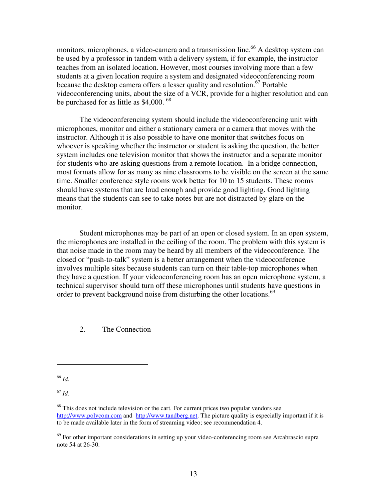monitors, microphones, a video-camera and a transmission line.<sup>66</sup> A desktop system can be used by a professor in tandem with a delivery system, if for example, the instructor teaches from an isolated location. However, most courses involving more than a few students at a given location require a system and designated videoconferencing room because the desktop camera offers a lesser quality and resolution. <sup>67</sup> Portable videoconferencing units, about the size of a VCR, provide for a higher resolution and can be purchased for as little as \$4,000.<sup>68</sup>

The videoconferencing system should include the videoconferencing unit with microphones, monitor and either a stationary camera or a camera that moves with the instructor. Although it is also possible to have one monitor that switches focus on whoever is speaking whether the instructor or student is asking the question, the better system includes one television monitor that shows the instructor and a separate monitor for students who are asking questions from a remote location. In a bridge connection, most formats allow for as many as nine classrooms to be visible on the screen at the same time. Smaller conference style rooms work better for 10 to 15 students. These rooms should have systems that are loud enough and provide good lighting. Good lighting means that the students can see to take notes but are not distracted by glare on the monitor.

Student microphones may be part of an open or closed system. In an open system, the microphones are installed in the ceiling of the room. The problem with this system is that noise made in the room may be heard by all members of the videoconference. The closed or "push-to-talk" system is a better arrangement when the videoconference involves multiple sites because students can turn on their table-top microphones when they have a question. If your videoconferencing room has an open microphone system, a technical supervisor should turn off these microphones until students have questions in order to prevent background noise from disturbing the other locations.<sup>69</sup>

2. The Connection

<sup>66</sup> *Id.*

 $68$  This does not include television or the cart. For current prices two popular vendors see http://www.polycom.com and http://www.tandberg.net. The picture quality is especially important if it is to be made available later in the form of streaming video; see recommendation 4.

 $^{69}$  For other important considerations in setting up your video-conferencing room see Arcabrascio supra note 54 at 26-30.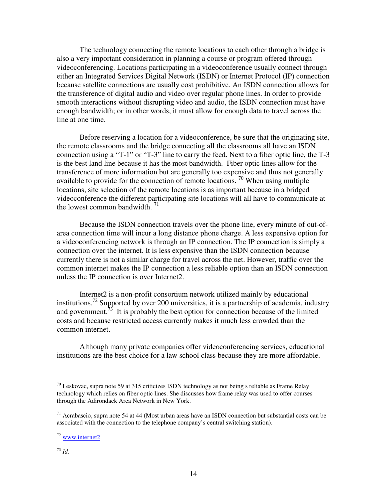The technology connecting the remote locations to each other through a bridge is also a very important consideration in planning a course or program offered through videoconferencing. Locations participating in a videoconference usually connect through either an Integrated Services Digital Network (ISDN) or Internet Protocol (IP) connection because satellite connections are usually cost prohibitive. An ISDN connection allows for the transference of digital audio and video over regular phone lines. In order to provide smooth interactions without disrupting video and audio, the ISDN connection must have enough bandwidth; or in other words, it must allow for enough data to travel across the line at one time.

Before reserving a location for a videoconference, be sure that the originating site, the remote classrooms and the bridge connecting all the classrooms all have an ISDN connection using a "T-1" or "T-3" line to carry the feed. Next to a fiber optic line, the T-3 is the best land line because it has the most bandwidth. Fiber optic lines allow for the transference of more information but are generally too expensive and thus not generally available to provide for the connection of remote locations.  $\frac{70}{10}$  When using multiple locations, site selection of the remote locations is as important because in a bridged videoconference the different participating site locations will all have to communicate at the lowest common bandwidth.  $71$ 

Because the ISDN connection travels over the phone line, every minute of out-ofarea connection time will incur a long distance phone charge. A less expensive option for a videoconferencing network is through an IP connection. The IP connection is simply a connection over the internet. It is less expensive than the ISDN connection because currently there is not a similar charge for travel across the net. However, traffic over the common internet makes the IP connection a less reliable option than an ISDN connection unless the IP connection is over Internet2.

Internet2 is a non-profit consortium network utilized mainly by educational institutions.<sup>72</sup> Supported by over 200 universities, it is a partnership of academia, industry and government.<sup>73</sup> It is probably the best option for connection because of the limited costs and because restricted access currently makes it much less crowded than the common internet.

Although many private companies offer videoconferencing services, educational institutions are the best choice for a law school class because they are more affordable.

 $70$  Leskovac, supra note 59 at 315 criticizes ISDN technology as not being s reliable as Frame Relay technology which relies on fiber optic lines. She discusses how frame relay was used to offer courses through the Adirondack Area Network in New York.

 $71$  Acrabascio, supra note 54 at 44 (Most urban areas have an ISDN connection but substantial costs can be associated with the connection to the telephone company's central switching station).

 $72$  www.internet2

<sup>73</sup> *Id.*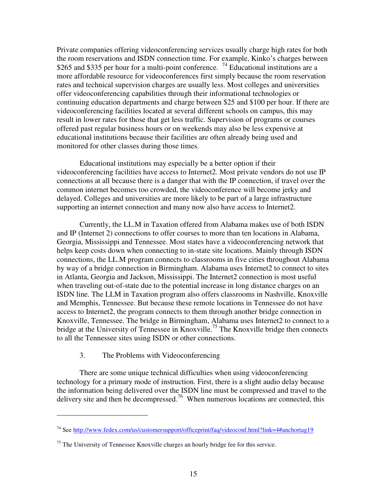Private companies offering videoconferencing services usually charge high rates for both the room reservations and ISDN connection time. For example, Kinko's charges between \$265 and \$335 per hour for a multi-point conference. <sup>74</sup> Educational institutions are a more affordable resource for videoconferences first simply because the room reservation rates and technical supervision charges are usually less. Most colleges and universities offer videoconferencing capabilities through their informational technologies or continuing education departments and charge between \$25 and \$100 per hour. If there are videoconferencing facilities located at several different schools on campus, this may result in lower rates for those that get less traffic. Supervision of programs or courses offered past regular business hours or on weekends may also be less expensive at educational institutions because their facilities are often already being used and monitored for other classes during those times.

Educational institutions may especially be a better option if their videoconferencing facilities have access to Internet2. Most private vendors do not use IP connections at all because there is a danger that with the IP connection, if travel over the common internet becomes too crowded, the videoconference will become jerky and delayed. Colleges and universities are more likely to be part of a large infrastructure supporting an internet connection and many now also have access to Internet2.

Currently, the LL.M in Taxation offered from Alabama makes use of both ISDN and IP (Internet 2) connections to offer courses to more than ten locations in Alabama, Georgia, Mississippi and Tennessee. Most states have a videoconferencing network that helps keep costs down when connecting to in-state site locations. Mainly through ISDN connections, the LL.M program connects to classrooms in five cities throughout Alabama by way of a bridge connection in Birmingham. Alabama uses Internet2 to connect to sites in Atlanta, Georgia and Jackson, Mississippi. The Internet2 connection is most useful when traveling out-of-state due to the potential increase in long distance charges on an ISDN line. The LLM in Taxation program also offers classrooms in Nashville, Knoxville and Memphis, Tennessee. But because these remote locations in Tennessee do not have access to Internet2, the program connects to them through another bridge connection in Knoxville, Tennessee. The bridge in Birmingham, Alabama uses Internet2 to connect to a bridge at the University of Tennessee in Knoxville.<sup>75</sup> The Knoxville bridge then connects to all the Tennessee sites using ISDN or other connections.

## 3. The Problems with Videoconferencing

There are some unique technical difficulties when using videoconferencing technology for a primary mode of instruction. First, there is a slight audio delay because the information being delivered over the ISDN line must be compressed and travel to the delivery site and then be decompressed.<sup>76</sup> When numerous locations are connected, this

<sup>74</sup> See http://www.fedex.com/us/customersupport/officeprint/faq/videoconf.html?link=4#anchortag19

 $<sup>75</sup>$  The University of Tennessee Knoxville charges an hourly bridge fee for this service.</sup>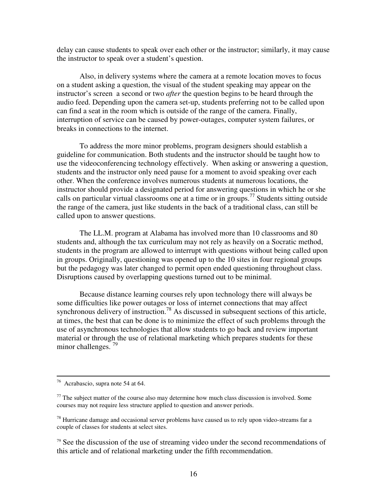delay can cause students to speak over each other or the instructor; similarly, it may cause the instructor to speak over a student's question.

Also, in delivery systems where the camera at a remote location moves to focus on a student asking a question, the visual of the student speaking may appear on the instructor's screen a second or two *after* the question begins to be heard through the audio feed. Depending upon the camera set-up, students preferring not to be called upon can find a seat in the room which is outside of the range of the camera. Finally, interruption of service can be caused by power-outages, computer system failures, or breaks in connections to the internet.

To address the more minor problems, program designers should establish a guideline for communication. Both students and the instructor should be taught how to use the videoconferencing technology effectively. When asking or answering a question, students and the instructor only need pause for a moment to avoid speaking over each other. When the conference involves numerous students at numerous locations, the instructor should provide a designated period for answering questions in which he or she calls on particular virtual classrooms one at a time or in groups. <sup>77</sup> Students sitting outside the range of the camera, just like students in the back of a traditional class, can still be called upon to answer questions.

The LL.M. program at Alabama has involved more than 10 classrooms and 80 students and, although the tax curriculum may not rely as heavily on a Socratic method, students in the program are allowed to interrupt with questions without being called upon in groups. Originally, questioning was opened up to the 10 sites in four regional groups but the pedagogy was later changed to permit open ended questioning throughout class. Disruptions caused by overlapping questions turned out to be minimal.

Because distance learning courses rely upon technology there will always be some difficulties like power outages or loss of internet connections that may affect synchronous delivery of instruction.<sup>78</sup> As discussed in subsequent sections of this article, at times, the best that can be done is to minimize the effect of such problems through the use of asynchronous technologies that allow students to go back and review important material or through the use of relational marketing which prepares students for these minor challenges.  $^{79}$ 

<sup>76</sup> Acrabascio, supra note 54 at 64.

 $77$  The subject matter of the course also may determine how much class discussion is involved. Some courses may not require less structure applied to question and answer periods.

 $^{78}$  Hurricane damage and occasional server problems have caused us to rely upon video-streams far a couple of classes for students at select sites.

 $79$  See the discussion of the use of streaming video under the second recommendations of this article and of relational marketing under the fifth recommendation.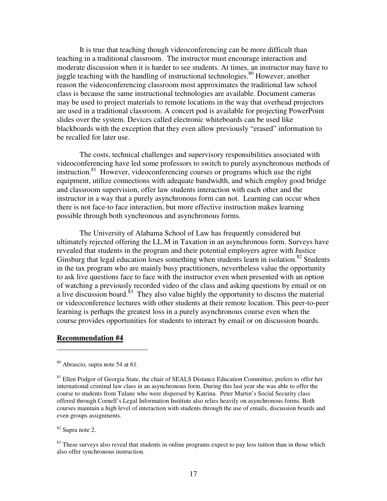It is true that teaching though videoconferencing can be more difficult than teaching in a traditional classroom. The instructor must encourage interaction and moderate discussion when it is harder to see students. At times, an instructor may have to juggle teaching with the handling of instructional technologies.<sup>80</sup> However, another reason the videoconferencing classroom most approximates the traditional law school class is because the same instructional technologies are available. Document cameras may be used to project materials to remote locations in the way that overhead projectors are used in a traditional classroom. A concert pod is available for projecting PowerPoint slides over the system. Devices called electronic whiteboards can be used like blackboards with the exception that they even allow previously "erased" information to be recalled for later use.

The costs, technical challenges and supervisory responsibilities associated with videoconferencing have led some professors to switch to purely asynchronous methods of instruction.<sup>81</sup> However, videoconferencing courses or programs which use the right equipment, utilize connections with adequate bandwidth, and which employ good bridge and classroom supervision, offer law students interaction with each other and the instructor in a way that a purely asynchronous form can not. Learning can occur when there is not face-to face interaction, but more effective instruction makes learning possible through both synchronous and asynchronous forms.

The University of Alabama School of Law has frequently considered but ultimately rejected offering the LL.M in Taxation in an asynchronous form. Surveys have revealed that students in the program and their potential employers agree with Justice Ginsburg that legal education loses something when students learn in isolation.<sup>82</sup> Students in the tax program who are mainly busy practitioners, nevertheless value the opportunity to ask live questions face to face with the instructor even when presented with an option of watching a previously recorded video of the class and asking questions by email or on a live discussion board.<sup>83</sup> They also value highly the opportunity to discuss the material or videoconference lectures with other students at their remote location. This peer-to-peer learning is perhaps the greatest loss in a purely asynchronous course even when the course provides opportunities for students to interact by email or on discussion boards.

#### **Recommendation #4**

<sup>82</sup> Supra note 2.

 $83$  These surveys also reveal that students in online programs expect to pay less tuition than in those which also offer synchronous instruction.

<sup>80</sup> Abrascio, supra note 54 at 61.

<sup>&</sup>lt;sup>81</sup> Ellen Podgor of Georgia State, the chair of SEALS Distance Education Committee, prefers to offer her international criminal law class in an asynchronous form. During this last year she was able to offer the course to students from Tulane who were dispersed by Katrina. Peter Martin's Social Security class offered through Cornell's Legal Information Institute also relies heavily on asynchronous forms. Both courses maintain a high level of interaction with students through the use of emails, discussion boards and even groups assignments.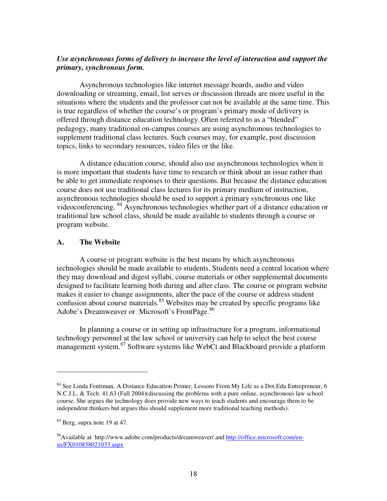## *Use asynchronous forms of delivery to increase the level of interaction and support the primary, synchronous form.*

Asynchronous technologies like internet message boards, audio and video downloading or streaming, email, list serves or discussion threads are more useful in the situations where the students and the professor can not be available at the same time. This is true regardless of whether the course's or program's primary mode of delivery is offered through distance education technology. Often referred to as a "blended" pedagogy, many traditional on-campus courses are using asynchronous technologies to supplement traditional class lectures. Such courses may, for example, post discussion topics, links to secondary resources, video files or the like.

A distance education course, should also use asynchronous technologies when it is more important that students have time to research or think about an issue rather than be able to get immediate responses to their questions. But because the distance education course does not use traditional class lectures for its primary medium of instruction, asynchronous technologies should be used to support a primary synchronous one like videoconferencing. <sup>84</sup> Asynchronous technologies whether part of a distance education or traditional law school class, should be made available to students through a course or program website.

## **A. The Website**

A course or program website is the best means by which asynchronous technologies should be made available to students. Students need a central location where they may download and digest syllabi, course materials or other supplemental documents designed to facilitate learning both during and after class. The course or program website makes it easier to change assignments, alter the pace of the course or address student confusion about course materials.<sup>85</sup> Websites may be created by specific programs like Adobe's Dreamweaver or Microsoft's FrontPage.<sup>86</sup>

In planning a course or in setting up infrastructure for a program, informational technology personnel at the law school or university can help to select the best course management system.<sup>87</sup> Software systems like WebCt and Blackboard provide a platform

<sup>&</sup>lt;sup>84</sup> See Linda Fentiman, A Distance Education Primer; Lessons From My Life as a Dot.Edu Entrepreneur, 6 N.C.J.L. & Tech. 41,63 (Fall 2004)(discussing the problems with a pure online, asynchronous law school course. She argues the technology does provide new ways to teach students and encourage them to be independent thinkers but argues this should supplement more traditional teaching methods).

<sup>&</sup>lt;sup>85</sup> Berg, supra note 19 at 47.

<sup>&</sup>lt;sup>86</sup>Available at http://www.adobe.com/products/dreamweaver/ and http://office.microsoft.com/enus/FX010858021033.aspx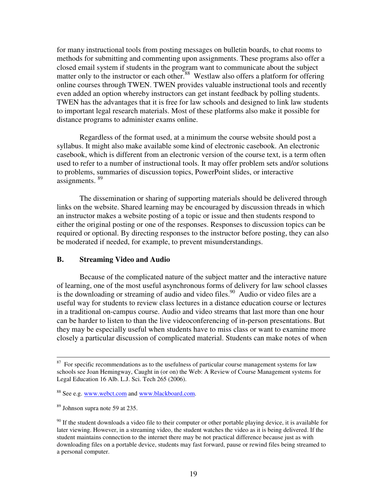for many instructional tools from posting messages on bulletin boards, to chat rooms to methods for submitting and commenting upon assignments. These programs also offer a closed email system if students in the program want to communicate about the subject matter only to the instructor or each other.<sup>88</sup> Westlaw also offers a platform for offering online courses through TWEN. TWEN provides valuable instructional tools and recently even added an option whereby instructors can get instant feedback by polling students. TWEN has the advantages that it is free for law schools and designed to link law students to important legal research materials. Most of these platforms also make it possible for distance programs to administer exams online.

Regardless of the format used, at a minimum the course website should post a syllabus. It might also make available some kind of electronic casebook. An electronic casebook, which is different from an electronic version of the course text, is a term often used to refer to a number of instructional tools. It may offer problem sets and/or solutions to problems, summaries of discussion topics, PowerPoint slides, or interactive assignments. <sup>89</sup>

The dissemination or sharing of supporting materials should be delivered through links on the website. Shared learning may be encouraged by discussion threads in which an instructor makes a website posting of a topic or issue and then students respond to either the original posting or one of the responses. Responses to discussion topics can be required or optional. By directing responses to the instructor before posting, they can also be moderated if needed, for example, to prevent misunderstandings.

#### **B. Streaming Video and Audio**

Because of the complicated nature of the subject matter and the interactive nature of learning, one of the most useful asynchronous forms of delivery for law school classes is the downloading or streaming of audio and video files.<sup>90</sup> Audio or video files are a useful way for students to review class lectures in a distance education course or lectures in a traditional on-campus course. Audio and video streams that last more than one hour can be harder to listen to than the live videoconferencing of in-person presentations. But they may be especially useful when students have to miss class or want to examine more closely a particular discussion of complicated material. Students can make notes of when

 $87$  For specific recommendations as to the usefulness of particular course management systems for law schools see Joan Hemingway, Caught in (or on) the Web: A Review of Course Management systems for Legal Education 16 Alb. L.J. Sci. Tech 265 (2006).

<sup>&</sup>lt;sup>88</sup> See e.g. www.webct.com and www.blackboard.com.

<sup>89</sup> Johnson supra note 59 at 235.

 $90$  If the student downloads a video file to their computer or other portable playing device, it is available for later viewing. However, in a streaming video, the student watches the video as it is being delivered. If the student maintains connection to the internet there may be not practical difference because just as with downloading files on a portable device, students may fast forward, pause or rewind files being streamed to a personal computer.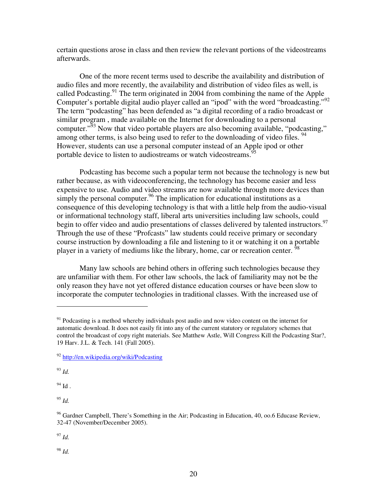certain questions arose in class and then review the relevant portions of the videostreams afterwards.

One of the more recent terms used to describe the availability and distribution of audio files and more recently, the availability and distribution of video files as well, is called Podcasting.<sup>91</sup> The term originated in 2004 from combining the name of the Apple Computer's portable digital audio player called an "ipod" with the word "broadcasting."<sup>92</sup> The term "podcasting" has been defended as "a digital recording of a radio broadcast or similar program , made available on the Internet for downloading to a personal computer."<sup>53</sup> Now that video portable players are also becoming available, "podcasting," among other terms, is also being used to refer to the downloading of video files.  $94$ However, students can use a personal computer instead of an Apple ipod or other portable device to listen to audiostreams or watch videostreams.<sup>95</sup>

Podcasting has become such a popular term not because the technology is new but rather because, as with videoconferencing, the technology has become easier and less expensive to use. Audio and video streams are now available through more devices than simply the personal computer.<sup>96</sup> The implication for educational institutions as a consequence of this developing technology is that with a little help from the audio-visual or informational technology staff, liberal arts universities including law schools, could begin to offer video and audio presentations of classes delivered by talented instructors.<sup>97</sup> Through the use of these "Profcasts" law students could receive primary or secondary course instruction by downloading a file and listening to it or watching it on a portable player in a variety of mediums like the library, home, car or recreation center.<sup>5</sup>

Many law schools are behind others in offering such technologies because they are unfamiliar with them. For other law schools, the lack of familiarity may not be the only reason they have not yet offered distance education courses or have been slow to incorporate the computer technologies in traditional classes. With the increased use of

<sup>93</sup> *Id.*

 $^{94}$  Id .

<sup>95</sup> *Id.*

<sup>97</sup> *Id.*

 $91$  Podcasting is a method whereby individuals post audio and now video content on the internet for automatic download. It does not easily fit into any of the current statutory or regulatory schemes that control the broadcast of copy right materials. See Matthew Astle, Will Congress Kill the Podcasting Star?, 19 Harv. J.L. & Tech. 141 (Fall 2005).

<sup>92</sup> http://en.wikipedia.org/wiki/Podcasting

<sup>&</sup>lt;sup>96</sup> Gardner Campbell, There's Something in the Air; Podcasting in Education, 40, 00.6 Educase Review, 32-47 (November/December 2005).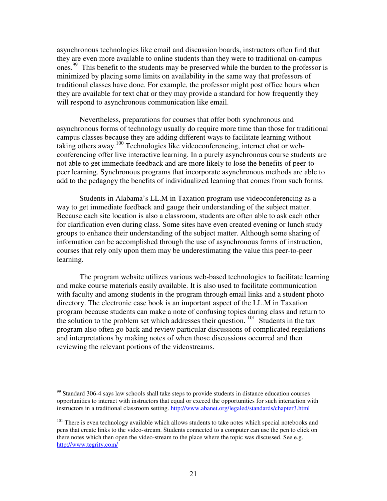asynchronous technologies like email and discussion boards, instructors often find that they are even more available to online students than they were to traditional on-campus ones.<sup>99</sup> This benefit to the students may be preserved while the burden to the professor is minimized by placing some limits on availability in the same way that professors of traditional classes have done. For example, the professor might post office hours when they are available for text chat or they may provide a standard for how frequently they will respond to asynchronous communication like email.

Nevertheless, preparations for courses that offer both synchronous and asynchronous forms of technology usually do require more time than those for traditional campus classes because they are adding different ways to facilitate learning without taking others away.<sup>100</sup> Technologies like videoconferencing, internet chat or webconferencing offer live interactive learning. In a purely asynchronous course students are not able to get immediate feedback and are more likely to lose the benefits of peer-topeer learning. Synchronous programs that incorporate asynchronous methods are able to add to the pedagogy the benefits of individualized learning that comes from such forms.

Students in Alabama's LL.M in Taxation program use videoconferencing as a way to get immediate feedback and gauge their understanding of the subject matter. Because each site location is also a classroom, students are often able to ask each other for clarification even during class. Some sites have even created evening or lunch study groups to enhance their understanding of the subject matter. Although some sharing of information can be accomplished through the use of asynchronous forms of instruction, courses that rely only upon them may be underestimating the value this peer-to-peer learning.

The program website utilizes various web-based technologies to facilitate learning and make course materials easily available. It is also used to facilitate communication with faculty and among students in the program through email links and a student photo directory. The electronic case book is an important aspect of the LL.M in Taxation program because students can make a note of confusing topics during class and return to the solution to the problem set which addresses their question.  $101$  Students in the tax program also often go back and review particular discussions of complicated regulations and interpretations by making notes of when those discussions occurred and then reviewing the relevant portions of the videostreams.

 $99$  Standard 306-4 says law schools shall take steps to provide students in distance education courses opportunities to interact with instructors that equal or exceed the opportunities for such interaction with instructors in a traditional classroom setting. http://www.abanet.org/legaled/standards/chapter3.html

<sup>&</sup>lt;sup>101</sup> There is even technology available which allows students to take notes which special notebooks and pens that create links to the video-stream. Students connected to a computer can use the pen to click on there notes which then open the video-stream to the place where the topic was discussed. See e.g. http://www.tegrity.com/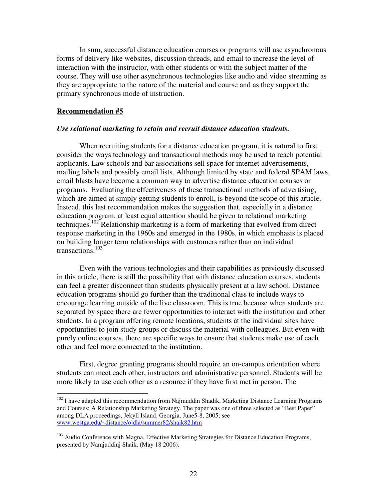In sum, successful distance education courses or programs will use asynchronous forms of delivery like websites, discussion threads, and email to increase the level of interaction with the instructor, with other students or with the subject matter of the course. They will use other asynchronous technologies like audio and video streaming as they are appropriate to the nature of the material and course and as they support the primary synchronous mode of instruction.

#### **Recommendation #5**

#### *Use relational marketing to retain and recruit distance education students.*

When recruiting students for a distance education program, it is natural to first consider the ways technology and transactional methods may be used to reach potential applicants. Law schools and bar associations sell space for internet advertisements, mailing labels and possibly email lists. Although limited by state and federal SPAM laws, email blasts have become a common way to advertise distance education courses or programs. Evaluating the effectiveness of these transactional methods of advertising, which are aimed at simply getting students to enroll, is beyond the scope of this article. Instead, this last recommendation makes the suggestion that, especially in a distance education program, at least equal attention should be given to relational marketing techniques.<sup>102</sup> Relationship marketing is a form of marketing that evolved from direct response marketing in the 1960s and emerged in the 1980s, in which emphasis is placed on building longer term relationships with customers rather than on individual transactions. 103

Even with the various technologies and their capabilities as previously discussed in this article, there is still the possibility that with distance education courses, students can feel a greater disconnect than students physically present at a law school. Distance education programs should go further than the traditional class to include ways to encourage learning outside of the live classroom. This is true because when students are separated by space there are fewer opportunities to interact with the institution and other students. In a program offering remote locations, students at the individual sites have opportunities to join study groups or discuss the material with colleagues. But even with purely online courses, there are specific ways to ensure that students make use of each other and feel more connected to the institution.

First, degree granting programs should require an on-campus orientation where students can meet each other, instructors and administrative personnel. Students will be more likely to use each other as a resource if they have first met in person. The

 $102$  I have adapted this recommendation from Najmuddin Shadik, Marketing Distance Learning Programs and Courses: A Relationship Marketing Strategy. The paper was one of three selected as "Best Paper" among DLA proceedings, Jekyll Island, Georgia, June5-8, 2005; see www.westga.edu/~distance/ojdla/summer82/shaik82.htm

<sup>&</sup>lt;sup>103</sup> Audio Conference with Magna, Effective Marketing Strategies for Distance Education Programs, presented by Namjuddinj Shaik. (May 18 2006).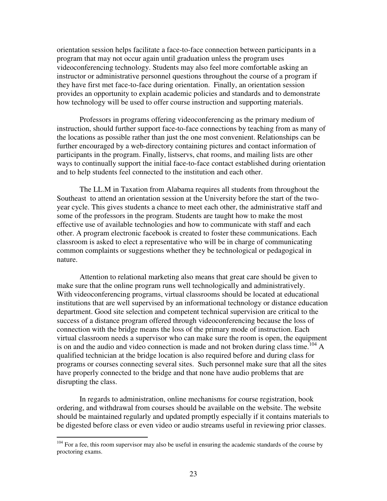orientation session helps facilitate a face-to-face connection between participants in a program that may not occur again until graduation unless the program uses videoconferencing technology. Students may also feel more comfortable asking an instructor or administrative personnel questions throughout the course of a program if they have first met face-to-face during orientation. Finally, an orientation session provides an opportunity to explain academic policies and standards and to demonstrate how technology will be used to offer course instruction and supporting materials.

Professors in programs offering videoconferencing as the primary medium of instruction, should further support face-to-face connections by teaching from as many of the locations as possible rather than just the one most convenient. Relationships can be further encouraged by a web-directory containing pictures and contact information of participants in the program. Finally, listservs, chat rooms, and mailing lists are other ways to continually support the initial face-to-face contact established during orientation and to help students feel connected to the institution and each other.

The LL.M in Taxation from Alabama requires all students from throughout the Southeast to attend an orientation session at the University before the start of the twoyear cycle. This gives students a chance to meet each other, the administrative staff and some of the professors in the program. Students are taught how to make the most effective use of available technologies and how to communicate with staff and each other. A program electronic facebook is created to foster these communications. Each classroom is asked to elect a representative who will be in charge of communicating common complaints or suggestions whether they be technological or pedagogical in nature.

Attention to relational marketing also means that great care should be given to make sure that the online program runs well technologically and administratively. With videoconferencing programs, virtual classrooms should be located at educational institutions that are well supervised by an informational technology or distance education department. Good site selection and competent technical supervision are critical to the success of a distance program offered through videoconferencing because the loss of connection with the bridge means the loss of the primary mode of instruction. Each virtual classroom needs a supervisor who can make sure the room is open, the equipment is on and the audio and video connection is made and not broken during class time.<sup>104</sup> A qualified technician at the bridge location is also required before and during class for programs or courses connecting several sites. Such personnel make sure that all the sites have properly connected to the bridge and that none have audio problems that are disrupting the class.

In regards to administration, online mechanisms for course registration, book ordering, and withdrawal from courses should be available on the website. The website should be maintained regularly and updated promptly especially if it contains materials to be digested before class or even video or audio streams useful in reviewing prior classes.

<sup>&</sup>lt;sup>104</sup> For a fee, this room supervisor may also be useful in ensuring the academic standards of the course by proctoring exams.